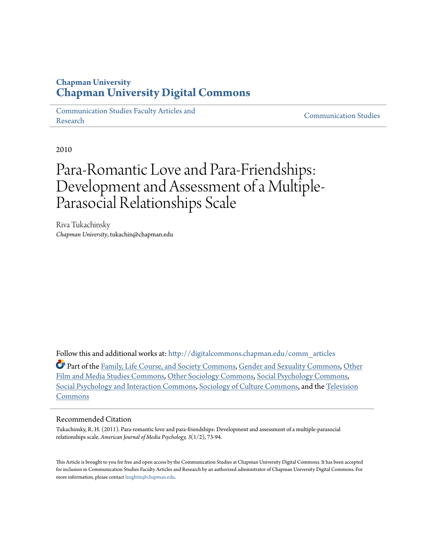# **Chapman University [Chapman University Digital Commons](http://digitalcommons.chapman.edu?utm_source=digitalcommons.chapman.edu%2Fcomm_articles%2F19&utm_medium=PDF&utm_campaign=PDFCoverPages)**

[Communication Studies Faculty Articles and](http://digitalcommons.chapman.edu/comm_articles?utm_source=digitalcommons.chapman.edu%2Fcomm_articles%2F19&utm_medium=PDF&utm_campaign=PDFCoverPages) [Research](http://digitalcommons.chapman.edu/comm_articles?utm_source=digitalcommons.chapman.edu%2Fcomm_articles%2F19&utm_medium=PDF&utm_campaign=PDFCoverPages) [Communication Studies](http://digitalcommons.chapman.edu/communication?utm_source=digitalcommons.chapman.edu%2Fcomm_articles%2F19&utm_medium=PDF&utm_campaign=PDFCoverPages)

2010

# Para-Romantic Love and Para-Friendships: Development and Assessment of a Multiple-Parasocial Relationships Scale

Riva Tukachinsky *Chapman University*, tukachin@chapman.edu

Follow this and additional works at: [http://digitalcommons.chapman.edu/comm\\_articles](http://digitalcommons.chapman.edu/comm_articles?utm_source=digitalcommons.chapman.edu%2Fcomm_articles%2F19&utm_medium=PDF&utm_campaign=PDFCoverPages)

Part of the [Family, Life Course, and Society Commons](http://network.bepress.com/hgg/discipline/419?utm_source=digitalcommons.chapman.edu%2Fcomm_articles%2F19&utm_medium=PDF&utm_campaign=PDFCoverPages), [Gender and Sexuality Commons](http://network.bepress.com/hgg/discipline/420?utm_source=digitalcommons.chapman.edu%2Fcomm_articles%2F19&utm_medium=PDF&utm_campaign=PDFCoverPages), [Other](http://network.bepress.com/hgg/discipline/565?utm_source=digitalcommons.chapman.edu%2Fcomm_articles%2F19&utm_medium=PDF&utm_campaign=PDFCoverPages) [Film and Media Studies Commons](http://network.bepress.com/hgg/discipline/565?utm_source=digitalcommons.chapman.edu%2Fcomm_articles%2F19&utm_medium=PDF&utm_campaign=PDFCoverPages), [Other Sociology Commons](http://network.bepress.com/hgg/discipline/434?utm_source=digitalcommons.chapman.edu%2Fcomm_articles%2F19&utm_medium=PDF&utm_campaign=PDFCoverPages), [Social Psychology Commons](http://network.bepress.com/hgg/discipline/414?utm_source=digitalcommons.chapman.edu%2Fcomm_articles%2F19&utm_medium=PDF&utm_campaign=PDFCoverPages), [Social Psychology and Interaction Commons,](http://network.bepress.com/hgg/discipline/430?utm_source=digitalcommons.chapman.edu%2Fcomm_articles%2F19&utm_medium=PDF&utm_campaign=PDFCoverPages) [Sociology of Culture Commons,](http://network.bepress.com/hgg/discipline/431?utm_source=digitalcommons.chapman.edu%2Fcomm_articles%2F19&utm_medium=PDF&utm_campaign=PDFCoverPages) and the [Television](http://network.bepress.com/hgg/discipline/1143?utm_source=digitalcommons.chapman.edu%2Fcomm_articles%2F19&utm_medium=PDF&utm_campaign=PDFCoverPages) [Commons](http://network.bepress.com/hgg/discipline/1143?utm_source=digitalcommons.chapman.edu%2Fcomm_articles%2F19&utm_medium=PDF&utm_campaign=PDFCoverPages)

### Recommended Citation

Tukachinsky, R. H. (2011). Para-romantic love and para-friendships: Development and assessment of a multiple-parasocial relationships scale. *American Journal of Media Psychology, 3*(1/2), 73-94.

This Article is brought to you for free and open access by the Communication Studies at Chapman University Digital Commons. It has been accepted for inclusion in Communication Studies Faculty Articles and Research by an authorized administrator of Chapman University Digital Commons. For more information, please contact [laughtin@chapman.edu](mailto:laughtin@chapman.edu).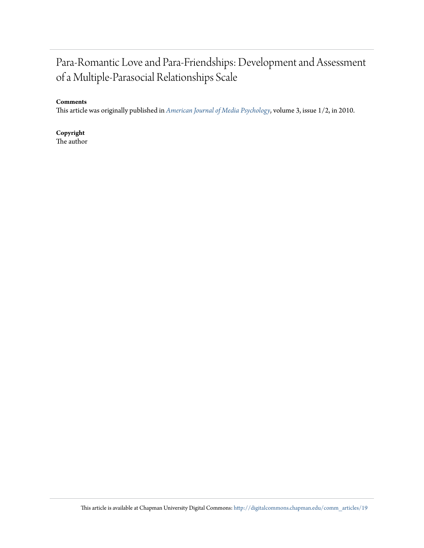# Para-Romantic Love and Para-Friendships: Development and Assessment of a Multiple-Parasocial Relationships Scale

### **Comments**

This article was originally published in *[American Journal of Media Psychology](http://www.marquettebooks.com/images/AJMP_Vol_3_2010.pdf)*, volume 3, issue 1/2, in 2010.

**Copyright** The author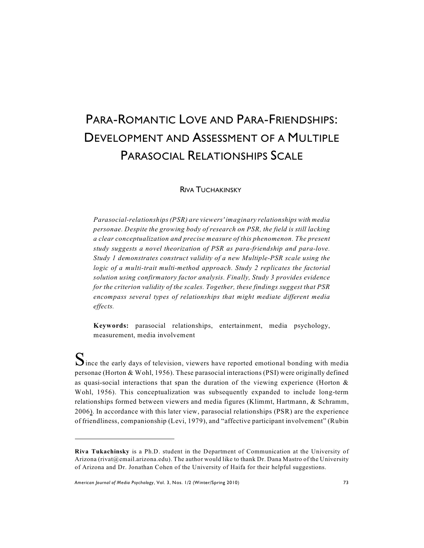# PARA-ROMANTIC LOVE AND PARA-FRIENDSHIPS: DEVELOPMENT AND ASSESSMENT OF A MULTIPLE PARASOCIAL RELATIONSHIPS SCALE

### **RIVA TUCHAKINSKY**

*Parasocial-relationships (PSR) are viewers' imaginary relationships with media personae. Despite the growing body of research on PSR, the field is still lacking a clear conceptualization and precise measure of this phenomenon. The present study suggests a novel theorization of PSR as para-friendship and para-love. Study 1 demonstrates construct validity of a new Multiple-PSR scale using the logic of a multi-trait multi-method approach. Study 2 replicates the factorial solution using confirmatory factor analysis. Finally, Study 3 provides evidence for the criterion validity of the scales. Together, these findings suggest that PSR encompass several types of relationships that might mediate different media effects.*

**Keywords:** parasocial relationships, entertainment, media psychology, measurement, media involvement

 $S$ ince the early days of television, viewers have reported emotional bonding with media personae (Horton & Wohl, 1956). These parasocial interactions (PSI) were originally defined as quasi-social interactions that span the duration of the viewing experience (Horton  $\&$ Wohl, 1956). This conceptualization was subsequently expanded to include long-term relationships formed between viewers and media figures (Klimmt, Hartmann, & Schramm, 2006). In accordance with this later view, parasocial relationships (PSR) are the experience of friendliness, companionship (Levi, 1979), and "affective participant involvement" (Rubin

**Riva Tukachinsky** is a Ph.D. student in the Department of Communication at the University of Arizona (rivat@email.arizona.edu). The author would like to thank Dr. Dana Mastro of the University of Arizona and Dr. Jonathan Cohen of the University of Haifa for their helpful suggestions.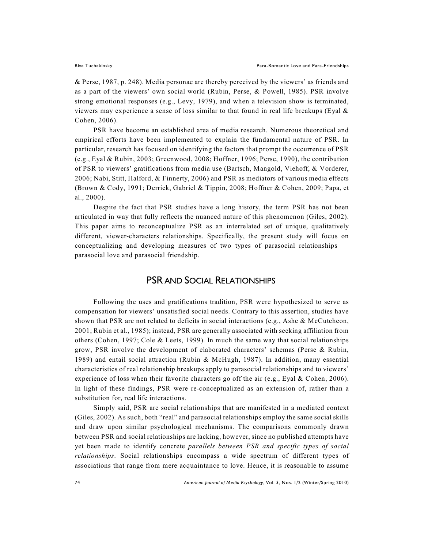& Perse, 1987, p. 248). Media personae are thereby perceived by the viewers' as friends and as a part of the viewers' own social world (Rubin, Perse, & Powell, 1985). PSR involve strong emotional responses (e.g., Levy, 1979), and when a television show is terminated, viewers may experience a sense of loss similar to that found in real life breakups (Eyal  $\&$ Cohen, 2006).

PSR have become an established area of media research. Numerous theoretical and empirical efforts have been implemented to explain the fundamental nature of PSR. In particular, research has focused on identifying the factors that prompt the occurrence of PSR (e.g., Eyal & Rubin, 2003; Greenwood, 2008; Hoffner, 1996; Perse, 1990), the contribution of PSR to viewers' gratifications from media use (Bartsch, Mangold, Viehoff, & Vorderer, 2006; Nabi, Stitt, Halford, & Finnerty, 2006) and PSR as mediators of various media effects (Brown & Cody, 1991; Derrick, Gabriel & Tippin, 2008; Hoffner & Cohen, 2009; Papa, et al., 2000).

Despite the fact that PSR studies have a long history, the term PSR has not been articulated in way that fully reflects the nuanced nature of this phenomenon (Giles, 2002). This paper aims to reconceptualize PSR as an interrelated set of unique, qualitatively different, viewer-characters relationships. Specifically, the present study will focus on conceptualizing and developing measures of two types of parasocial relationships parasocial love and parasocial friendship.

# PSR AND SOCIAL RELATIONSHIPS

Following the uses and gratifications tradition, PSR were hypothesized to serve as compensation for viewers' unsatisfied social needs. Contrary to this assertion, studies have shown that PSR are not related to deficits in social interactions (e.g., Ashe & McCutcheon, 2001; Rubin et al., 1985); instead, PSR are generally associated with seeking affiliation from others (Cohen, 1997; Cole & Leets, 1999). In much the same way that social relationships grow, PSR involve the development of elaborated characters' schemas (Perse & Rubin, 1989) and entail social attraction (Rubin & McHugh, 1987). In addition, many essential characteristics of real relationship breakups apply to parasocial relationships and to viewers' experience of loss when their favorite characters go off the air (e.g., Eyal & Cohen, 2006). In light of these findings, PSR were re-conceptualized as an extension of, rather than a substitution for, real life interactions.

Simply said, PSR are social relationships that are manifested in a mediated context (Giles, 2002). As such, both "real" and parasocial relationships employ the same social skills and draw upon similar psychological mechanisms. The comparisons commonly drawn between PSR and social relationships are lacking, however, since no published attempts have yet been made to identify concrete *parallels between PSR and specific types of social relationships*. Social relationships encompass a wide spectrum of different types of associations that range from mere acquaintance to love. Hence, it is reasonable to assume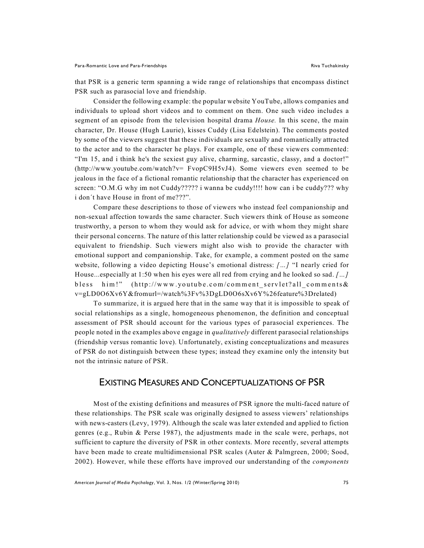that PSR is a generic term spanning a wide range of relationships that encompass distinct PSR such as parasocial love and friendship.

Consider the following example: the popular website YouTube, allows companies and individuals to upload short videos and to comment on them. One such video includes a segment of an episode from the television hospital drama *House.* In this scene, the main character, Dr. House (Hugh Laurie), kisses Cuddy (Lisa Edelstein). The comments posted by some of the viewers suggest that these individuals are sexually and romantically attracted to the actor and to the character he plays. For example, one of these viewers commented: "I'm 15, and i think he's the sexiest guy alive, charming, sarcastic, classy, and a doctor!"  $(http://www.vouthe.com/watch?v= FvopC9H5vJ4)$ . Some viewers even seemed to be jealous in the face of a fictional romantic relationship that the character has experienced on screen: "O.M.G why im not Cuddy????? i wanna be cuddy!!!! how can i be cuddy??? why i don´t have House in front of me???".

Compare these descriptions to those of viewers who instead feel companionship and non-sexual affection towards the same character. Such viewers think of House as someone trustworthy, a person to whom they would ask for advice, or with whom they might share their personal concerns. The nature of this latter relationship could be viewed as a parasocial equivalent to friendship. Such viewers might also wish to provide the character with emotional support and companionship. Take, for example, a comment posted on the same website, following a video depicting House's emotional distress: *[…]* "I nearly cried for House...especially at 1:50 when his eyes were all red from crying and he looked so sad. *[…]* bless him!" (http://www.youtube.com/comment\_servlet?all\_comments& v=gLD0O6Xv6Y&fromurl=/watch%3Fv%3DgLD0O6sXv6Y%26feature%3Drelated)

To summarize, it is argued here that in the same way that it is impossible to speak of social relationships as a single, homogeneous phenomenon, the definition and conceptual assessment of PSR should account for the various types of parasocial experiences. The people noted in the examples above engage in *qualitatively* different parasocial relationships (friendship versus romantic love). Unfortunately, existing conceptualizations and measures of PSR do not distinguish between these types; instead they examine only the intensity but not the intrinsic nature of PSR.

# EXISTING MEASURES AND CONCEPTUALIZATIONS OF PSR

Most of the existing definitions and measures of PSR ignore the multi-faced nature of these relationships. The PSR scale was originally designed to assess viewers' relationships with news-casters (Levy, 1979). Although the scale was later extended and applied to fiction genres (e.g., Rubin & Perse 1987), the adjustments made in the scale were, perhaps, not sufficient to capture the diversity of PSR in other contexts. More recently, several attempts have been made to create multidimensional PSR scales (Auter & Palmgreen, 2000; Sood, 2002). However, while these efforts have improved our understanding of the *components*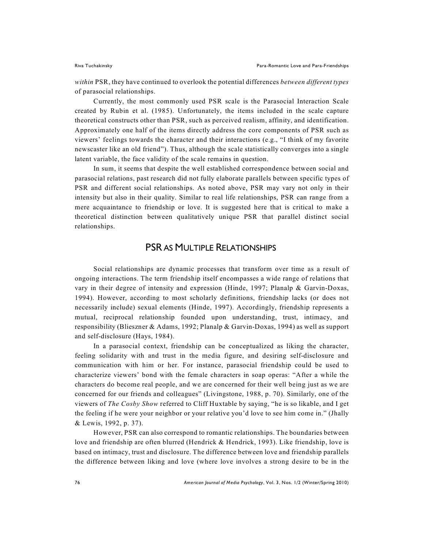*within* PSR, they have continued to overlook the potential differences *between different types* of parasocial relationships.

Currently, the most commonly used PSR scale is the Parasocial Interaction Scale created by Rubin et al. (1985). Unfortunately, the items included in the scale capture theoretical constructs other than PSR, such as perceived realism, affinity, and identification. Approximately one half of the items directly address the core components of PSR such as viewers' feelings towards the character and their interactions (e.g., "I think of my favorite newscaster like an old friend"). Thus, although the scale statistically converges into a single latent variable, the face validity of the scale remains in question.

In sum, it seems that despite the well established correspondence between social and parasocial relations, past research did not fully elaborate parallels between specific types of PSR and different social relationships. As noted above, PSR may vary not only in their intensity but also in their quality. Similar to real life relationships, PSR can range from a mere acquaintance to friendship or love. It is suggested here that is critical to make a theoretical distinction between qualitatively unique PSR that parallel distinct social relationships.

# PSR AS MULTIPLE RELATIONSHIPS

Social relationships are dynamic processes that transform over time as a result of ongoing interactions. The term friendship itself encompasses a wide range of relations that vary in their degree of intensity and expression (Hinde, 1997; Planalp & Garvin-Doxas, 1994). However, according to most scholarly definitions, friendship lacks (or does not necessarily include) sexual elements (Hinde, 1997). Accordingly, friendship represents a mutual, reciprocal relationship founded upon understanding, trust, intimacy, and responsibility (Blieszner & Adams, 1992; Planalp & Garvin-Doxas, 1994) as well as support and self-disclosure (Hays, 1984).

In a parasocial context, friendship can be conceptualized as liking the character, feeling solidarity with and trust in the media figure, and desiring self-disclosure and communication with him or her. For instance, parasocial friendship could be used to characterize viewers' bond with the female characters in soap operas: "After a while the characters do become real people, and we are concerned for their well being just as we are concerned for our friends and colleagues" (Livingstone, 1988, p. 70). Similarly, one of the viewers of *The Cosby Show* referred to Cliff Huxtable by saying, "he is so likable, and I get the feeling if he were your neighbor or your relative you'd love to see him come in." (Jhally & Lewis, 1992, p. 37).

However, PSR can also correspond to romantic relationships. The boundaries between love and friendship are often blurred (Hendrick & Hendrick, 1993). Like friendship, love is based on intimacy, trust and disclosure. The difference between love and friendship parallels the difference between liking and love (where love involves a strong desire to be in the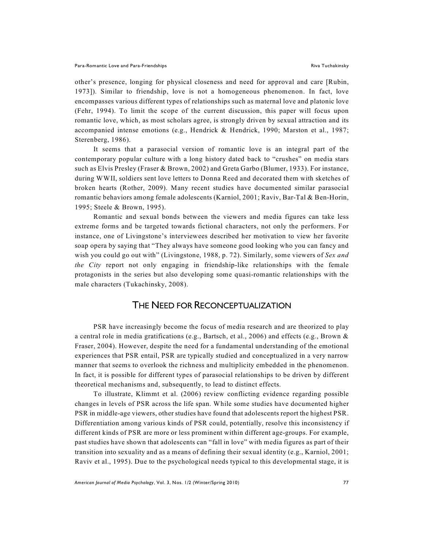other's presence, longing for physical closeness and need for approval and care [Rubin, 1973]). Similar to friendship, love is not a homogeneous phenomenon. In fact, love encompasses various different types of relationships such as maternal love and platonic love (Fehr, 1994). To limit the scope of the current discussion, this paper will focus upon romantic love, which, as most scholars agree, is strongly driven by sexual attraction and its accompanied intense emotions (e.g., Hendrick & Hendrick, 1990; Marston et al., 1987; Sterenberg, 1986).

It seems that a parasocial version of romantic love is an integral part of the contemporary popular culture with a long history dated back to "crushes" on media stars such as Elvis Presley (Fraser & Brown, 2002) and Greta Garbo (Blumer, 1933). For instance, during WWII, soldiers sent love letters to Donna Reed and decorated them with sketches of broken hearts (Rother, 2009). Many recent studies have documented similar parasocial romantic behaviors among female adolescents (Karniol, 2001; Raviv, Bar-Tal & Ben-Horin, 1995; Steele & Brown, 1995).

Romantic and sexual bonds between the viewers and media figures can take less extreme forms and be targeted towards fictional characters, not only the performers. For instance, one of Livingstone's interviewees described her motivation to view her favorite soap opera by saying that "They always have someone good looking who you can fancy and wish you could go out with" (Livingstone, 1988, p. 72). Similarly, some viewers of *Sex and the City* report not only engaging in friendship-like relationships with the female protagonists in the series but also developing some quasi-romantic relationships with the male characters (Tukachinsky, 2008).

# THE NEED FOR RECONCEPTUALIZATION

PSR have increasingly become the focus of media research and are theorized to play a central role in media gratifications (e.g., Bartsch, et al., 2006) and effects (e.g., Brown & Fraser, 2004). However, despite the need for a fundamental understanding of the emotional experiences that PSR entail, PSR are typically studied and conceptualized in a very narrow manner that seems to overlook the richness and multiplicity embedded in the phenomenon. In fact, it is possible for different types of parasocial relationships to be driven by different theoretical mechanisms and, subsequently, to lead to distinct effects.

To illustrate, Klimmt et al. (2006) review conflicting evidence regarding possible changes in levels of PSR across the life span. While some studies have documented higher PSR in middle-age viewers, other studies have found that adolescents report the highest PSR. Differentiation among various kinds of PSR could, potentially, resolve this inconsistency if different kinds of PSR are more or less prominent within different age-groups. For example, past studies have shown that adolescents can "fall in love" with media figures as part of their transition into sexuality and as a means of defining their sexual identity (e.g., Karniol, 2001; Raviv et al., 1995). Due to the psychological needs typical to this developmental stage, it is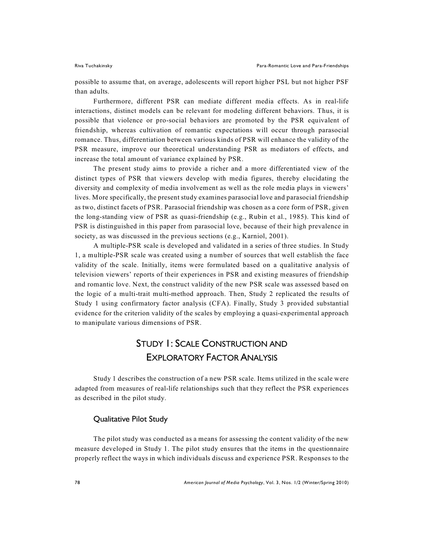possible to assume that, on average, adolescents will report higher PSL but not higher PSF than adults.

Furthermore, different PSR can mediate different media effects. As in real-life interactions, distinct models can be relevant for modeling different behaviors. Thus, it is possible that violence or pro-social behaviors are promoted by the PSR equivalent of friendship, whereas cultivation of romantic expectations will occur through parasocial romance. Thus, differentiation between various kinds of PSR will enhance the validity of the PSR measure, improve our theoretical understanding PSR as mediators of effects, and increase the total amount of variance explained by PSR.

The present study aims to provide a richer and a more differentiated view of the distinct types of PSR that viewers develop with media figures, thereby elucidating the diversity and complexity of media involvement as well as the role media plays in viewers' lives. More specifically, the present study examines parasocial love and parasocial friendship as two, distinct facets of PSR. Parasocial friendship was chosen as a core form of PSR, given the long-standing view of PSR as quasi-friendship (e.g., Rubin et al., 1985). This kind of PSR is distinguished in this paper from parasocial love, because of their high prevalence in society, as was discussed in the previous sections (e.g., Karniol, 2001).

A multiple-PSR scale is developed and validated in a series of three studies. In Study 1, a multiple-PSR scale was created using a number of sources that well establish the face validity of the scale. Initially, items were formulated based on a qualitative analysis of television viewers' reports of their experiences in PSR and existing measures of friendship and romantic love. Next, the construct validity of the new PSR scale was assessed based on the logic of a multi-trait multi-method approach. Then, Study 2 replicated the results of Study 1 using confirmatory factor analysis (CFA). Finally, Study 3 provided substantial evidence for the criterion validity of the scales by employing a quasi-experimental approach to manipulate various dimensions of PSR.

# STUDY 1: SCALE CONSTRUCTION AND EXPLORATORY FACTOR ANALYSIS

Study 1 describes the construction of a new PSR scale. Items utilized in the scale were adapted from measures of real-life relationships such that they reflect the PSR experiences as described in the pilot study.

### Qualitative Pilot Study

The pilot study was conducted as a means for assessing the content validity of the new measure developed in Study 1. The pilot study ensures that the items in the questionnaire properly reflect the ways in which individuals discuss and experience PSR. Responses to the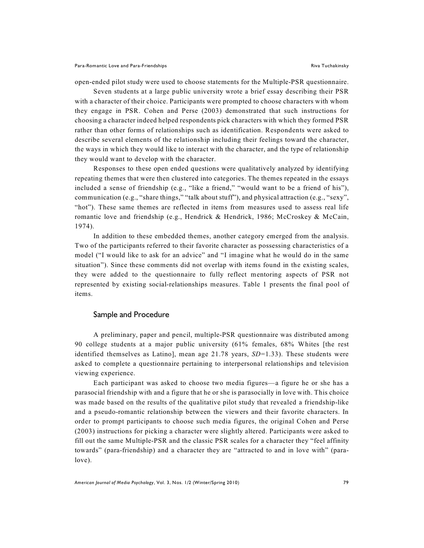open-ended pilot study were used to choose statements for the Multiple-PSR questionnaire.

Seven students at a large public university wrote a brief essay describing their PSR with a character of their choice. Participants were prompted to choose characters with whom they engage in PSR. Cohen and Perse (2003) demonstrated that such instructions for choosing a character indeed helped respondents pick characters with which they formed PSR rather than other forms of relationships such as identification. Respondents were asked to describe several elements of the relationship including their feelings toward the character, the ways in which they would like to interact with the character, and the type of relationship they would want to develop with the character.

Responses to these open ended questions were qualitatively analyzed by identifying repeating themes that were then clustered into categories. The themes repeated in the essays included a sense of friendship (e.g., "like a friend," "would want to be a friend of his"), communication (e.g., "share things," "talk about stuff"), and physical attraction (e.g., "sexy", "hot"). These same themes are reflected in items from measures used to assess real life romantic love and friendship (e.g., Hendrick & Hendrick, 1986; McCroskey & McCain, 1974).

In addition to these embedded themes, another category emerged from the analysis. Two of the participants referred to their favorite character as possessing characteristics of a model ("I would like to ask for an advice" and "I imagine what he would do in the same situation"). Since these comments did not overlap with items found in the existing scales, they were added to the questionnaire to fully reflect mentoring aspects of PSR not represented by existing social-relationships measures. Table 1 presents the final pool of items.

#### Sample and Procedure

A preliminary, paper and pencil, multiple-PSR questionnaire was distributed among 90 college students at a major public university (61% females, 68% Whites [the rest identified themselves as Latino], mean age 21.78 years, *SD*=1.33). These students were asked to complete a questionnaire pertaining to interpersonal relationships and television viewing experience.

Each participant was asked to choose two media figures—a figure he or she has a parasocial friendship with and a figure that he or she is parasocially in love with. This choice was made based on the results of the qualitative pilot study that revealed a friendship-like and a pseudo-romantic relationship between the viewers and their favorite characters. In order to prompt participants to choose such media figures, the original Cohen and Perse (2003) instructions for picking a character were slightly altered. Participants were asked to fill out the same Multiple-PSR and the classic PSR scales for a character they "feel affinity towards" (para-friendship) and a character they are "attracted to and in love with" (paralove).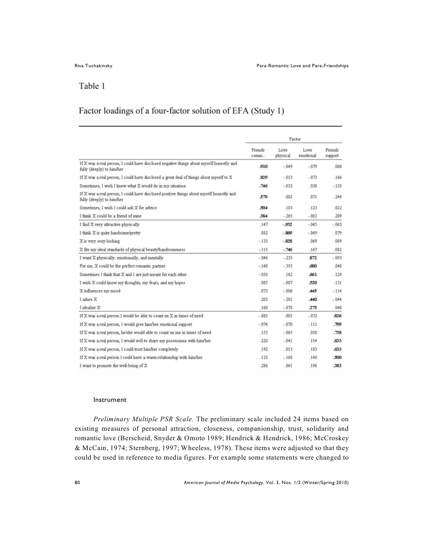# Table 1

# Factor loadings of a four-factor solution of EFA (Study 1)

|                                                                                                                       | Factor           |                  |                   |                    |  |
|-----------------------------------------------------------------------------------------------------------------------|------------------|------------------|-------------------|--------------------|--|
|                                                                                                                       | Friends<br>comm. | Love<br>physical | Love<br>emotional | Friends<br>support |  |
| If X was a real person, I could have disclosed negative things about myself honestly and<br>fully (deeply) to him/her | .910             | $-049$           | $-079$            | .060               |  |
| If X was a real person, I could have disclosed a great deal of things about myself to X                               | 829              | $-013$           | $-073$            | .166               |  |
| Sometimes, I wish I knew what X would do in my situation                                                              | .746             | $-033$           | .030.             | $-135$             |  |
| If X was a real person, I could have disclosed positive things about myself honestly and<br>fully (deeply) to him/her | .579             | .002             | .071              | .244               |  |
| Sometimes, I wish I could ask X for advice                                                                            | .504             | .103             | .123              | .022               |  |
| I think X could be a friend of mine                                                                                   | .384             | $-265$           | $-003$            | .209               |  |
| I find X very attractive physically                                                                                   | .147             | $-0.32$          | $-0.045$          | $-063$             |  |
| I think X is quite handsome/pretty                                                                                    | .082             | $-SCD$           | $-049$            | .079               |  |
| X is very sexy looking                                                                                                | $-133$           | $-828$           | .069              | .089               |  |
| X fits my ideal standards of physical beauty/handsomeness                                                             | $-115$           | $-.746$          | .167              | 082                |  |
| I want X physically, emotionally, and mentally.                                                                       | $-0.46$          | $-235$           | .S72              | $-093$             |  |
| For me, X could be the perfect romantic partner                                                                       | $-140$           | $-355$           | .680              | .040               |  |
| Sometimes I think that X and I are just meant for each other                                                          | $-050$           | .162             | .661              | .129               |  |
| I wish X could know my thoughts, my fears, and my hopes                                                               | .085             | $-007$           | .520              | .131               |  |
| X influences my mood                                                                                                  | 073              | $-006$           | .445              | $-114$             |  |
| I adore X                                                                                                             | .203             | $-281$           | .440              | $-044$             |  |
| I idealize X                                                                                                          | .160.            | $-078$           | .275              | .040               |  |
| If X was a real person I would be able to count on X in times of need                                                 | $-085$           | .005             | $-072$            | 836                |  |
| If X was a real person, I would give him/her emotional support                                                        | $-074$           | $-070$           | $-111$            | .799               |  |
| If X was a real person, he/she would able to count on me in times of need                                             | .153             | $-065$           | .050              | .738               |  |
| If X was a real person, I would will to share my possessions with him/her                                             | .220             | $-041$           | .154              | .633               |  |
| If X was a real person, I could trust him/her completely                                                              | .192             | .013             | .183              | .633               |  |
| If X was a real person I could have a warm relationship with him/her                                                  | .133             | $-168$           | .140              | 500                |  |
| I want to promote the well-being of X                                                                                 | .286             | .061             | .196              | 383                |  |

#### Instrument

*Preliminary Multiple PSR Scale.* The preliminary scale included 24 items based on existing measures of personal attraction, closeness, companionship, trust, solidarity and romantic love (Berscheid, Snyder & Omoto 1989; Hendrick & Hendrick, 1986; McCroskey & McCain, 1974; Sternberg, 1997; Wheeless, 1978). These items were adjusted so that they could be used in reference to media figures. For example some statements were changed to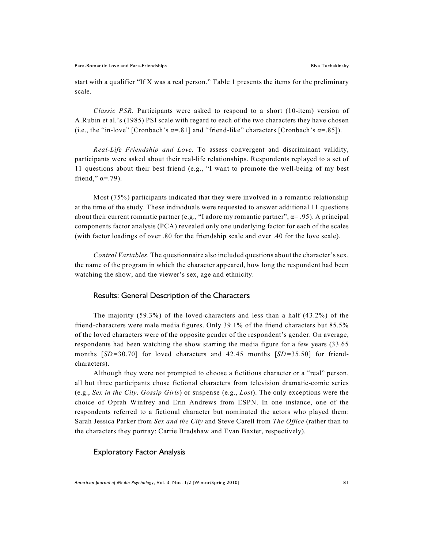start with a qualifier "If X was a real person." Table 1 presents the items for the preliminary scale.

*Classic PSR.* Participants were asked to respond to a short (10-item) version of A.Rubin et al.'s (1985) PSI scale with regard to each of the two characters they have chosen (i.e., the "in-love" [Cronbach's  $\alpha$ =.81] and "friend-like" characters [Cronbach's  $\alpha$ =.85]).

*Real-Life Friendship and Love.* To assess convergent and discriminant validity, participants were asked about their real-life relationships. Respondents replayed to a set of 11 questions about their best friend (e.g., "I want to promote the well-being of my best friend,"  $\alpha = .79$ ).

Most (75%) participants indicated that they were involved in a romantic relationship at the time of the study. These individuals were requested to answer additional 11 questions about their current romantic partner (e.g., "I adore my romantic partner",  $\alpha$ = .95). A principal components factor analysis (PCA) revealed only one underlying factor for each of the scales (with factor loadings of over .80 for the friendship scale and over .40 for the love scale).

*Control Variables.* The questionnaire also included questions about the character's sex, the name of the program in which the character appeared, how long the respondent had been watching the show, and the viewer's sex, age and ethnicity.

#### Results: General Description of the Characters

The majority (59.3%) of the loved-characters and less than a half (43.2%) of the friend-characters were male media figures. Only 39.1% of the friend characters but 85.5% of the loved characters were of the opposite gender of the respondent's gender. On average, respondents had been watching the show starring the media figure for a few years (33.65 months [*SD=*30.70] for loved characters and 42.45 months [*SD=*35.50] for friendcharacters).

Although they were not prompted to choose a fictitious character or a "real" person, all but three participants chose fictional characters from television dramatic-comic series (e.g., *Sex in the City, Gossip Girls*) or suspense (e.g., *Lost*). The only exceptions were the choice of Oprah Winfrey and Erin Andrews from ESPN. In one instance, one of the respondents referred to a fictional character but nominated the actors who played them: Sarah Jessica Parker from *Sex and the City* and Steve Carell from *The Office* (rather than to the characters they portray: Carrie Bradshaw and Evan Baxter, respectively).

#### Exploratory Factor Analysis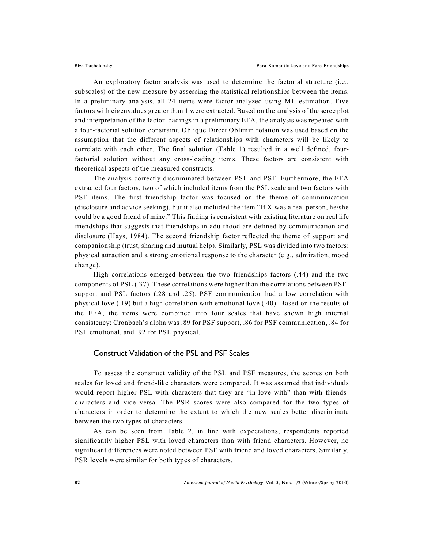An exploratory factor analysis was used to determine the factorial structure (i.e., subscales) of the new measure by assessing the statistical relationships between the items. In a preliminary analysis, all 24 items were factor-analyzed using ML estimation. Five factors with eigenvalues greater than 1 were extracted. Based on the analysis of the scree plot and interpretation of the factor loadings in a preliminary EFA, the analysis was repeated with a four-factorial solution constraint. Oblique Direct Oblimin rotation was used based on the assumption that the different aspects of relationships with characters will be likely to correlate with each other. The final solution (Table 1) resulted in a well defined, fourfactorial solution without any cross-loading items. These factors are consistent with theoretical aspects of the measured constructs.

The analysis correctly discriminated between PSL and PSF. Furthermore, the EFA extracted four factors, two of which included items from the PSL scale and two factors with PSF items. The first friendship factor was focused on the theme of communication (disclosure and advice seeking), but it also included the item "If X was a real person, he/she could be a good friend of mine." This finding is consistent with existing literature on real life friendships that suggests that friendships in adulthood are defined by communication and disclosure (Hays, 1984). The second friendship factor reflected the theme of support and companionship (trust, sharing and mutual help). Similarly, PSL was divided into two factors: physical attraction and a strong emotional response to the character (e.g., admiration, mood change).

High correlations emerged between the two friendships factors (.44) and the two components of PSL (.37). These correlations were higher than the correlations between PSFsupport and PSL factors (.28 and .25). PSF communication had a low correlation with physical love (.19) but a high correlation with emotional love (.40). Based on the results of the EFA, the items were combined into four scales that have shown high internal consistency: Cronbach's alpha was .89 for PSF support, .86 for PSF communication, .84 for PSL emotional, and .92 for PSL physical.

#### Construct Validation of the PSL and PSF Scales

To assess the construct validity of the PSL and PSF measures, the scores on both scales for loved and friend-like characters were compared. It was assumed that individuals would report higher PSL with characters that they are "in-love with" than with friendscharacters and vice versa. The PSR scores were also compared for the two types of characters in order to determine the extent to which the new scales better discriminate between the two types of characters.

As can be seen from Table 2, in line with expectations, respondents reported significantly higher PSL with loved characters than with friend characters. However, no significant differences were noted between PSF with friend and loved characters. Similarly, PSR levels were similar for both types of characters.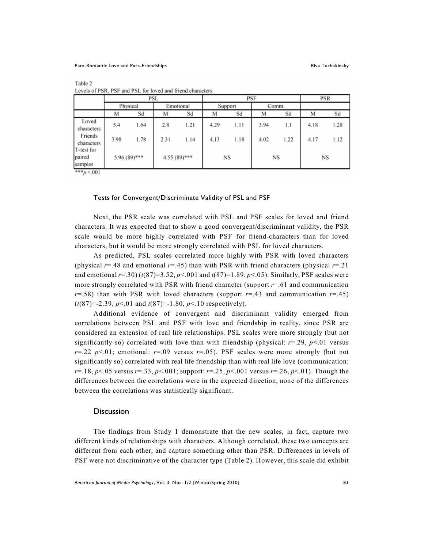|                                 | PSL  |                |      | PSF            |      |         |           | <b>PSR</b> |      |      |
|---------------------------------|------|----------------|------|----------------|------|---------|-----------|------------|------|------|
|                                 |      | Physical       |      | Emotional      |      | Support |           | Comm.      |      |      |
|                                 | М    | Sd             | М    | Sd             | М    | Sd      | M         | Sd         | M    | Sd   |
| Loved<br>characters             | 5.4  | 1.64           | 2.8  | 1.21           | 4.29 | 1.11    | 3.94      | 1.1        | 4.18 | 1.28 |
| Friends<br>characters           | 3.98 | 1.78           | 2.31 | 1.14           | 4.13 | 1.18    | 4.02      | 1.22       | 4.17 | 1.12 |
| T-test for<br>paired<br>samples |      | $5.96(89)$ *** |      | $4.55(89)$ *** |      | NS      | <b>NS</b> |            | NS   |      |

Levels of PSR, PSF and PSL for loved and friend characters

 $p < 001$ 

Table 2

#### Tests for Convergent/Discriminate Validity of PSL and PSF

Next, the PSR scale was correlated with PSL and PSF scales for loved and friend characters. It was expected that to show a good convergent/discriminant validity, the PSR scale would be more highly correlated with PSF for friend-characters than for loved characters, but it would be more strongly correlated with PSL for loved characters.

As predicted, PSL scales correlated more highly with PSR with loved characters (physical  $r = .48$  and emotional  $r = .45$ ) than with PSR with friend characters (physical  $r = .21$ and emotional  $r=30$ ) ( $t(87)=3.52$ ,  $p<0.01$  and  $t(87)=1.89$ ,  $p<0.05$ ). Similarly, PSF scales were more strongly correlated with PSR with friend character (support *r*=.61 and communication  $r = .58$ ) than with PSR with loved characters (support  $r = .43$  and communication  $r = .45$ ) (*t*(87)=-2.39, *p*<.01 and *t*(87)=-1.80, *p*<.10 respectively).

Additional evidence of convergent and discriminant validity emerged from correlations between PSL and PSF with love and friendship in reality, since PSR are considered an extension of real life relationships. PSL scales were more strongly (but not significantly so) correlated with love than with friendship (physical:  $r=0.29$ ,  $p<01$  versus  $r=0.22$  *p*<.01; emotional:  $r=0.09$  versus  $r=0.05$ ). PSF scales were more strongly (but not significantly so) correlated with real life friendship than with real life love (communication: *r*=.18, *p*<.05 versus *r*=.33, *p*<.001; support: *r*=.25, *p*<.001 versus *r*=.26, *p*<.01). Though the differences between the correlations were in the expected direction, none of the differences between the correlations was statistically significant.

#### **Discussion**

The findings from Study 1 demonstrate that the new scales, in fact, capture two different kinds of relationships with characters. Although correlated, these two concepts are different from each other, and capture something other than PSR. Differences in levels of PSF were not discriminative of the character type (Table 2). However, this scale did exhibit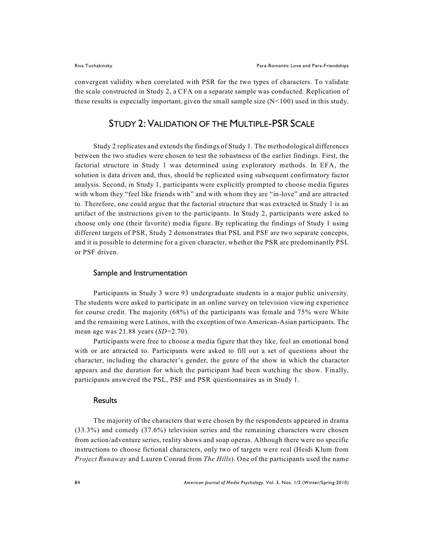convergent validity when correlated with PSR for the two types of characters. To validate the scale constructed in Study 2, a CFA on a separate sample was conducted. Replication of these results is especially important, given the small sample size  $(N<100)$  used in this study.

# STUDY 2: VALIDATION OF THE MULTIPLE-PSR SCALE

Study 2 replicates and extends the findings of Study 1. The methodological differences between the two studies were chosen to test the robustness of the earlier findings. First, the factorial structure in Study 1 was determined using exploratory methods. In EFA, the solution is data driven and, thus, should be replicated using subsequent confirmatory factor analysis. Second, in Study 1, participants were explicitly prompted to choose media figures with whom they "feel like friends with" and with whom they are "in-love" and are attracted to. Therefore, one could argue that the factorial structure that was extracted in Study 1 is an artifact of the instructions given to the participants. In Study 2, participants were asked to choose only one (their favorite) media figure. By replicating the findings of Study 1 using different targets of PSR, Study 2 demonstrates that PSL and PSF are two separate concepts, and it is possible to determine for a given character, whether the PSR are predominantly PSL or PSF driven.

#### Sample and Instrumentation

Participants in Study 3 were 93 undergraduate students in a major public university. The students were asked to participate in an online survey on television viewing experience for course credit. The majority (68%) of the participants was female and 75% were White and the remaining were Latinos, with the exception of two American-Asian participants. The mean age was 21.88 years (*SD*=2.70).

Participants were free to choose a media figure that they like, feel an emotional bond with or are attracted to. Participants were asked to fill out a set of questions about the character, including the character's gender, the genre of the show in which the character appears and the duration for which the participant had been watching the show. Finally, participants answered the PSL, PSF and PSR questionnaires as in Study 1.

#### **Results**

The majority of the characters that were chosen by the respondents appeared in drama (33.3%) and comedy (37.6%) television series and the remaining characters were chosen from action/adventure series, reality shows and soap operas. Although there were no specific instructions to choose fictional characters, only two of targets were real (Heidi Klum from *Project Runaway* and Lauren Conrad from *The Hills*). One of the participants used the name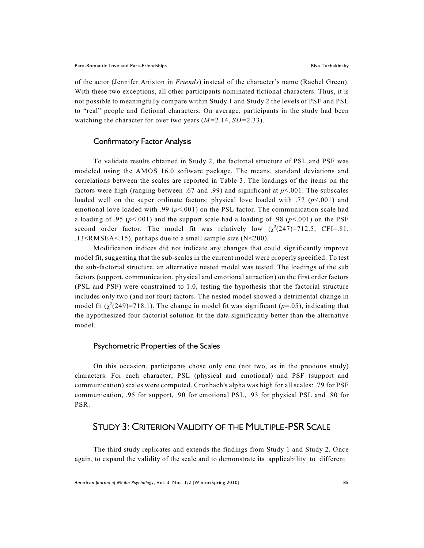of the actor (Jennifer Aniston in *Friends*) instead of the character's name (Rachel Green). With these two exceptions, all other participants nominated fictional characters. Thus, it is not possible to meaningfully compare within Study 1 and Study 2 the levels of PSF and PSL to "real" people and fictional characters. On average, participants in the study had been watching the character for over two years (*M=*2.14, *SD=*2.33).

#### Confirmatory Factor Analysis

To validate results obtained in Study 2, the factorial structure of PSL and PSF was modeled using the AMOS 16.0 software package. The means, standard deviations and correlations between the scales are reported in Table 3. The loadings of the items on the factors were high (ranging between .67 and .99) and significant at *p*<.001. The subscales loaded well on the super ordinate factors: physical love loaded with  $.77 \frac{(p<.001)}{2}$  and emotional love loaded with .99 ( $p$ <.001) on the PSL factor. The communication scale had a loading of .95 ( $p < .001$ ) and the support scale had a loading of .98 ( $p < .001$ ) on the PSF second order factor. The model fit was relatively low  $(\chi^2(247)=712.5, \text{CFI} = .81,$ .13<RMSEA<.15), perhaps due to a small sample size (N<200).

Modification indices did not indicate any changes that could significantly improve model fit, suggesting that the sub-scales in the current model were properly specified. To test the sub-factorial structure, an alternative nested model was tested. The loadings of the sub factors (support, communication, physical and emotional attraction) on the first order factors (PSL and PSF) were constrained to 1.0, testing the hypothesis that the factorial structure includes only two (and not four) factors. The nested model showed a detrimental change in model fit  $(\chi^2(249)=718.1)$ . The change in model fit was significant ( $p=0.05$ ), indicating that the hypothesized four-factorial solution fit the data significantly better than the alternative model.

#### Psychometric Properties of the Scales

On this occasion, participants chose only one (not two, as in the previous study) characters. For each character, PSL (physical and emotional) and PSF (support and communication) scales were computed. Cronbach's alpha was high for all scales: .79 for PSF communication, .95 for support, .90 for emotional PSL, .93 for physical PSL and .80 for PSR.

# STUDY 3: CRITERION VALIDITY OF THE MULTIPLE-PSR SCALE

The third study replicates and extends the findings from Study 1 and Study 2. Once again, to expand the validity of the scale and to demonstrate its applicability to different

*American Journal of Media Psychology*, Vol. 3, Nos. 1/2 (Winter/Spring 2010) 85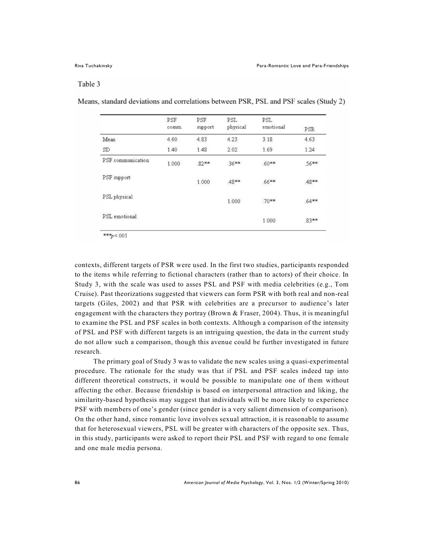#### Table 3

|                   | PSF<br>comm. | PSF<br>support | PSL<br>physical | PSL<br>emotional | PSR      |
|-------------------|--------------|----------------|-----------------|------------------|----------|
| Mean              | 4.60         | 4.83           | 4.23            | 3.18             | 4.63     |
| SD                | 1.40         | 1.48           | 2.02            | 1.69             | 1.24     |
| PSF communication | 1.000        | .82**          | $.36***$        | .60**            | .56**    |
| PSF support       |              | 1.000          | .48**           | $.66***$         | .48**    |
| PSL physical      |              |                | 1.000           | .70**            | $.64***$ |
| PSL emotional     |              |                |                 | 1.000            | 83**     |

Means, standard deviations and correlations between PSR, PSL and PSF scales (Study 2)

\*\*\* $p < 001$ 

contexts, different targets of PSR were used. In the first two studies, participants responded to the items while referring to fictional characters (rather than to actors) of their choice. In Study 3, with the scale was used to asses PSL and PSF with media celebrities (e.g., Tom Cruise). Past theorizations suggested that viewers can form PSR with both real and non-real targets (Giles, 2002) and that PSR with celebrities are a precursor to audience's later engagement with the characters they portray (Brown & Fraser, 2004). Thus, it is meaningful to examine the PSL and PSF scales in both contexts. Although a comparison of the intensity of PSL and PSF with different targets is an intriguing question, the data in the current study do not allow such a comparison, though this avenue could be further investigated in future research.

The primary goal of Study 3 was to validate the new scales using a quasi-experimental procedure. The rationale for the study was that if PSL and PSF scales indeed tap into different theoretical constructs, it would be possible to manipulate one of them without affecting the other. Because friendship is based on interpersonal attraction and liking, the similarity-based hypothesis may suggest that individuals will be more likely to experience PSF with members of one's gender (since gender is a very salient dimension of comparison). On the other hand, since romantic love involves sexual attraction, it is reasonable to assume that for heterosexual viewers, PSL will be greater with characters of the opposite sex. Thus, in this study, participants were asked to report their PSL and PSF with regard to one female and one male media persona.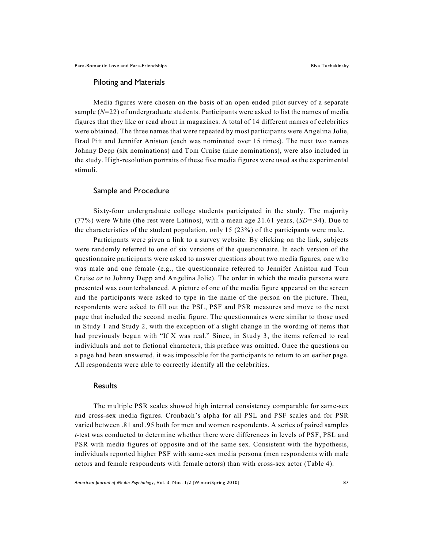#### Piloting and Materials

Media figures were chosen on the basis of an open-ended pilot survey of a separate sample  $(N=22)$  of undergraduate students. Participants were asked to list the names of media figures that they like or read about in magazines. A total of 14 different names of celebrities were obtained. The three names that were repeated by most participants were Angelina Jolie, Brad Pitt and Jennifer Aniston (each was nominated over 15 times). The next two names Johnny Depp (six nominations) and Tom Cruise (nine nominations), were also included in the study. High-resolution portraits of these five media figures were used as the experimental stimuli.

### Sample and Procedure

Sixty-four undergraduate college students participated in the study. The majority (77%) were White (the rest were Latinos), with a mean age 21.61 years, (*SD*=.94). Due to the characteristics of the student population, only 15  $(23%)$  of the participants were male.

Participants were given a link to a survey website. By clicking on the link, subjects were randomly referred to one of six versions of the questionnaire. In each version of the questionnaire participants were asked to answer questions about two media figures, one who was male and one female (e.g., the questionnaire referred to Jennifer Aniston and Tom Cruise *or* to Johnny Depp and Angelina Jolie). The order in which the media persona were presented was counterbalanced. A picture of one of the media figure appeared on the screen and the participants were asked to type in the name of the person on the picture. Then, respondents were asked to fill out the PSL, PSF and PSR measures and move to the next page that included the second media figure. The questionnaires were similar to those used in Study 1 and Study 2, with the exception of a slight change in the wording of items that had previously begun with "If X was real." Since, in Study 3, the items referred to real individuals and not to fictional characters, this preface was omitted. Once the questions on a page had been answered, it was impossible for the participants to return to an earlier page. All respondents were able to correctly identify all the celebrities.

#### **Results**

The multiple PSR scales showed high internal consistency comparable for same-sex and cross-sex media figures. Cronbach's alpha for all PSL and PSF scales and for PSR varied between .81 and .95 both for men and women respondents. A series of paired samples *t*-test was conducted to determine whether there were differences in levels of PSF, PSL and PSR with media figures of opposite and of the same sex. Consistent with the hypothesis, individuals reported higher PSF with same-sex media persona (men respondents with male actors and female respondents with female actors) than with cross-sex actor (Table 4).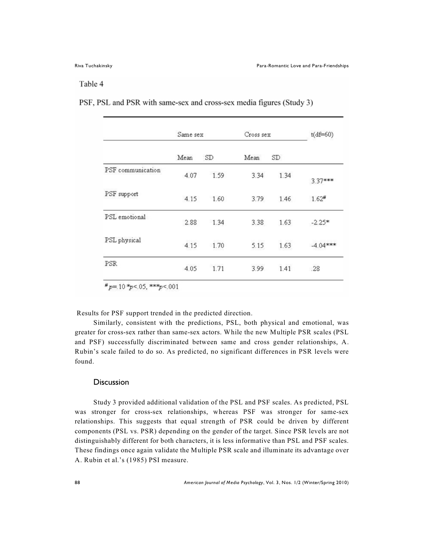## Table 4

|                   | Same sex |      | Cross sex |      | $t(df=60)$ |
|-------------------|----------|------|-----------|------|------------|
|                   | Mean     | SD   | Mean      | SD   |            |
| PSF communication | 4.07     | 1.59 | 3.34      | 1.34 | 3.37***    |
| PSF support       | 4.15     | 1.60 | 3.79      | 1.46 | 1.62#      |
| PSL emotional     | 2.88     | 1.34 | 3.38      | 1.63 | $-2.25*$   |
| PSL physical      | 4.15     | 1.70 | 5.15      | 1.63 | $-4.04***$ |
| PSR               | 4.05     | 1.71 | 3.99      | 1.41 | .28        |

PSF, PSL and PSR with same-sex and cross-sex media figures (Study 3)

Results for PSF support trended in the predicted direction.

Similarly, consistent with the predictions, PSL, both physical and emotional, was greater for cross-sex rather than same-sex actors. While the new Multiple PSR scales (PSL and PSF) successfully discriminated between same and cross gender relationships, A. Rubin's scale failed to do so. As predicted, no significant differences in PSR levels were found.

#### **Discussion**

Study 3 provided additional validation of the PSL and PSF scales. As predicted, PSL was stronger for cross-sex relationships, whereas PSF was stronger for same-sex relationships. This suggests that equal strength of PSR could be driven by different components (PSL vs. PSR) depending on the gender of the target. Since PSR levels are not distinguishably different for both characters, it is less informative than PSL and PSF scales. These findings once again validate the Multiple PSR scale and illuminate its advantage over A. Rubin et al.'s (1985) PSI measure.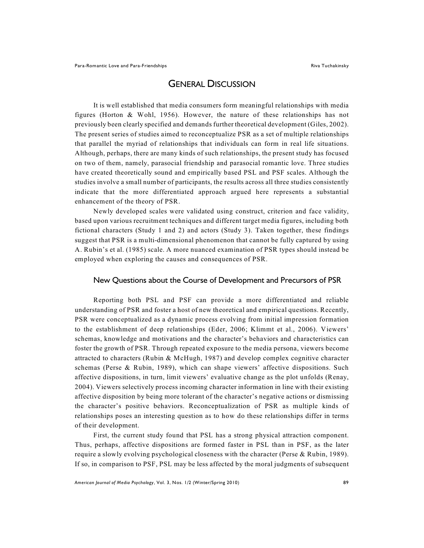# GENERAL DISCUSSION

It is well established that media consumers form meaningful relationships with media figures (Horton & Wohl, 1956). However, the nature of these relationships has not previously been clearly specified and demands further theoretical development (Giles, 2002). The present series of studies aimed to reconceptualize PSR as a set of multiple relationships that parallel the myriad of relationships that individuals can form in real life situations. Although, perhaps, there are many kinds of such relationships, the present study has focused on two of them, namely, parasocial friendship and parasocial romantic love. Three studies have created theoretically sound and empirically based PSL and PSF scales. Although the studies involve a small number of participants, the results across all three studies consistently indicate that the more differentiated approach argued here represents a substantial enhancement of the theory of PSR.

Newly developed scales were validated using construct, criterion and face validity, based upon various recruitment techniques and different target media figures, including both fictional characters (Study 1 and 2) and actors (Study 3). Taken together, these findings suggest that PSR is a multi-dimensional phenomenon that cannot be fully captured by using A. Rubin's et al. (1985) scale. A more nuanced examination of PSR types should instead be employed when exploring the causes and consequences of PSR.

#### New Questions about the Course of Development and Precursors of PSR

Reporting both PSL and PSF can provide a more differentiated and reliable understanding of PSR and foster a host of new theoretical and empirical questions. Recently, PSR were conceptualized as a dynamic process evolving from initial impression formation to the establishment of deep relationships (Eder, 2006; Klimmt et al., 2006). Viewers' schemas, knowledge and motivations and the character's behaviors and characteristics can foster the growth of PSR. Through repeated exposure to the media persona, viewers become attracted to characters (Rubin & McHugh, 1987) and develop complex cognitive character schemas (Perse & Rubin, 1989), which can shape viewers' affective dispositions. Such affective dispositions, in turn, limit viewers' evaluative change as the plot unfolds (Renay, 2004). Viewers selectively process incoming character information in line with their existing affective disposition by being more tolerant of the character's negative actions or dismissing the character's positive behaviors. Reconceptualization of PSR as multiple kinds of relationships poses an interesting question as to how do these relationships differ in terms of their development.

First, the current study found that PSL has a strong physical attraction component. Thus, perhaps, affective dispositions are formed faster in PSL than in PSF, as the later require a slowly evolving psychological closeness with the character (Perse & Rubin, 1989). If so, in comparison to PSF, PSL may be less affected by the moral judgments of subsequent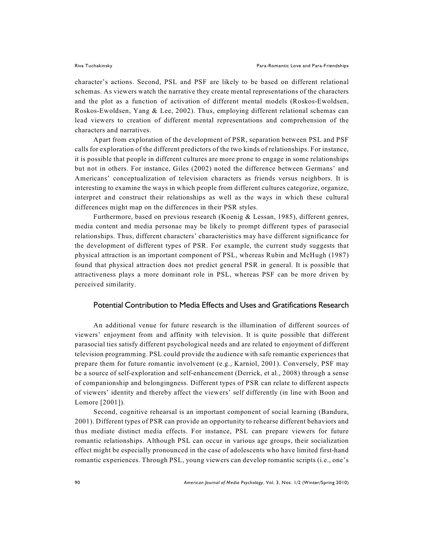character's actions. Second, PSL and PSF are likely to be based on different relational schemas. As viewers watch the narrative they create mental representations of the characters and the plot as a function of activation of different mental models (Roskos-Ewoldsen, Roskos-Ewoldsen, Yang & Lee, 2002). Thus, employing different relational schemas can lead viewers to creation of different mental representations and comprehension of the characters and narratives.

Apart from exploration of the development of PSR, separation between PSL and PSF calls for exploration of the different predictors of the two kinds of relationships. For instance, it is possible that people in different cultures are more prone to engage in some relationships but not in others. For instance, Giles (2002) noted the difference between Germans' and Americans' conceptualization of television characters as friends versus neighbors. It is interesting to examine the ways in which people from different cultures categorize, organize, interpret and construct their relationships as well as the ways in which these cultural differences might map on the differences in their PSR styles.

Furthermore, based on previous research (Koenig & Lessan, 1985), different genres, media content and media personae may be likely to prompt different types of parasocial relationships. Thus, different characters' characteristics may have different significance for the development of different types of PSR. For example, the current study suggests that physical attraction is an important component of PSL, whereas Rubin and McHugh (1987) found that physical attraction does not predict general PSR in general. It is possible that attractiveness plays a more dominant role in PSL, whereas PSF can be more driven by perceived similarity.

### Potential Contribution to Media Effects and Uses and Gratifications Research

An additional venue for future research is the illumination of different sources of viewers' enjoyment from and affinity with television. It is quite possible that different parasocial ties satisfy different psychological needs and are related to enjoyment of different television programming. PSL could provide the audience with safe romantic experiences that prepare them for future romantic involvement (e.g., Karniol, 2001). Conversely, PSF may be a source of self-exploration and self-enhancement (Derrick, et al., 2008) through a sense of companionship and belongingness. Different types of PSR can relate to different aspects of viewers' identity and thereby affect the viewers' self differently (in line with Boon and Lomore [2001]).

Second, cognitive rehearsal is an important component of social learning (Bandura, 2001). Different types of PSR can provide an opportunity to rehearse different behaviors and thus mediate distinct media effects. For instance, PSL can prepare viewers for future romantic relationships. Although PSL can occur in various age groups, their socialization effect might be especially pronounced in the case of adolescents who have limited first-hand romantic experiences. Through PSL, young viewers can develop romantic scripts (i.e., one's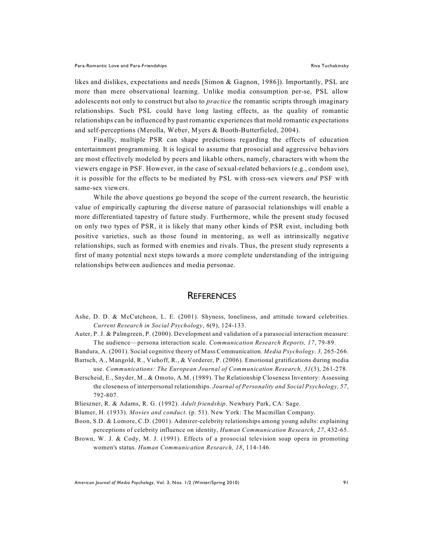likes and dislikes, expectations and needs [Simon & Gagnon, 1986]). Importantly, PSL are more than mere observational learning. Unlike media consumption per-se, PSL allow adolescents not only to construct but also to *practice* the romantic scripts through imaginary relationships. Such PSL could have long lasting effects, as the quality of romantic relationships can be influenced by past romantic experiences that mold romantic expectations and self-perceptions (Merolla, Weber, Myers & Booth-Butterfieled, 2004).

Finally, multiple PSR can shape predictions regarding the effects of education entertainment programming. It is logical to assume that prosocial and aggressive behaviors are most effectively modeled by peers and likable others, namely, characters with whom the viewers engage in PSF. However, in the case of sexual-related behaviors (e.g., condom use), it is possible for the effects to be mediated by PSL with cross-sex viewers *and* PSF with same-sex viewers.

While the above questions go beyond the scope of the current research, the heuristic value of empirically capturing the diverse nature of parasocial relationships will enable a more differentiated tapestry of future study. Furthermore, while the present study focused on only two types of PSR, it is likely that many other kinds of PSR exist, including both positive varieties, such as those found in mentoring, as well as intrinsically negative relationships, such as formed with enemies and rivals. Thus, the present study represents a first of many potential next steps towards a more complete understanding of the intriguing relationships between audiences and media personae.

## **REFERENCES**

- Ashe, D. D. & McCutcheon, L. E. (2001). Shyness, loneliness, and attitude toward celebrities. *Current Research in Social Psychology*, *6*(9), 124-133.
- Auter, P. J. & Palmgreen, P. (2000). Development and validation of a parasocial interaction measure: The audience—persona interaction scale. *Communication Research Reports, 17*, 79-89.
- Bandura, A. (2001). Social cognitive theory of Mass Communication. *Media Psychology, 3,* 265-266. Bartsch, A., Mangold, R., Viehoff, R., & Vorderer, P. (2006). Emotional gratifications during media
- use. *Communications: The European Journal of Communication Research, 31*(3), 261-278.
- Berscheid, E., Snyder, M., & Omoto, A.M. (1989). The Relationship Closeness Inventory: Assessing the closeness of interpersonal relationships. *Journal of Personality and Social Psychology, 57*, 792-807.
- Blieszner, R. & Adams, R. G. (1992). *Adult friendship*. Newbury Park, CA: Sage.
- Blumer, H. (1933). *Movies and conduct*. (p. 51). New York: The Macmillan Company.
- Boon, S.D. & Lomore, C.D. (2001). Admirer-celebrity relationships among young adults: explaining perceptions of celebrity influence on identity, *Human Communication Research, 27*, 432-65.
- Brown, W. J. & Cody, M. J. (1991). Effects of a prosocial television soap opera in promoting women's status. *Human Communication Research, 18*, 114-146.

*American Journal of Media Psychology*, Vol. 3, Nos. 1/2 (Winter/Spring 2010) 91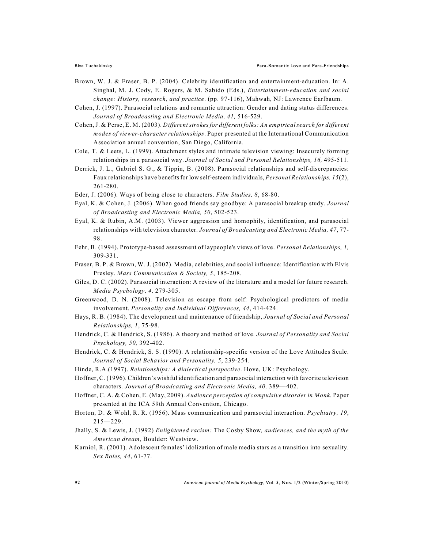- Brown, W. J. & Fraser, B. P. (2004). Celebrity identification and entertainment-education. In: A. Singhal, M. J. Cody, E. Rogers, & M. Sabido (Eds.), *Entertainment-education and social change: History, research, and practice*. (pp. 97-116), Mahwah, NJ: Lawrence Earlbaum.
- Cohen, J. (1997). Parasocial relations and romantic attraction: Gender and dating status differences. *Journal of Broadcasting and Electronic Media, 41,* 516-529.
- Cohen, J. & Perse, E. M. (2003). *Different strokes for different folks: An empirical search for different modes of viewer-character relationships*. Paper presented at the International Communication Association annual convention, San Diego, California.
- Cole, T. & Leets, L. (1999). Attachment styles and intimate television viewing: Insecurely forming relationships in a parasocial way. *Journal of Social and Personal Relationships, 16,* 495-511.
- Derrick, J. L., Gabriel S. G., & Tippin, B. (2008). Parasocial relationships and self-discrepancies: Faux relationships have benefits for low self-esteem individuals, *Personal Relationships, 15*(2), 261-280.
- Eder, J. (2006). Ways of being close to characters. *Film Studies, 8*, 68-80.
- Eyal, K. & Cohen, J. (2006). When good friends say goodbye: A parasocial breakup study. *Journal of Broadcasting and Electronic Media, 50*, 502-523.
- Eyal, K. & Rubin, A.M. (2003). Viewer aggression and homophily, identification, and parasocial relationships with television character. *Journal of Broadcasting and Electronic Media, 47*, 77- 98.
- Fehr, B. (1994). Prototype-based assessment of laypeople's views of love. *Personal Relationships, 1,* 309-331.
- Fraser, B. P. & Brown, W. J. (2002). Media, celebrities, and social influence: Identification with Elvis Presley. *Mass Communication & Society, 5*, 185-208.
- Giles, D. C. (2002). Parasocial interaction: A review of the literature and a model for future research. *Media Psychology, 4,* 279-305.
- Greenwood, D. N. (2008). Television as escape from self: Psychological predictors of media involvement. *Personality and Individual Differences, 44*, 414-424.
- Hays, R. B. (1984). The development and maintenance of friendship, *Journal of Social and Personal Relationships, 1*, 75-98.
- Hendrick, C. & Hendrick, S. (1986). A theory and method of love*. Journal of Personality and Social Psychology, 50,* 392-402.
- Hendrick, C. & Hendrick, S. S. (1990). A relationship-specific version of the Love Attitudes Scale. *Journal of Social Behavior and Personality, 5*, 239-254.
- Hinde, R.A.(1997). *Relationships: A dialectical perspective*. Hove, UK: Psychology.
- Hoffner, C. (1996). Children's wishful identification and parasocial interaction with favorite television characters. *Journal of Broadcasting and Electronic Media, 40,* 389—402.
- Hoffner, C. A. & Cohen, E. (May, 2009). *Audience perception of compulsive disorder in Monk*. Paper presented at the ICA 59th Annual Convention, Chicago.
- Horton, D. & Wohl, R. R. (1956). Mass communication and parasocial interaction. *Psychiatry, 19*, 215—229.
- Jhally, S. & Lewis, J. (1992) *Enlightened racism:* The Cosby Show*, audiences, and the myth of the American dream*, Boulder: Westview.
- Karniol, R. (2001). Adolescent females' idolization of male media stars as a transition into sexuality. *Sex Roles, 44*, 61-77.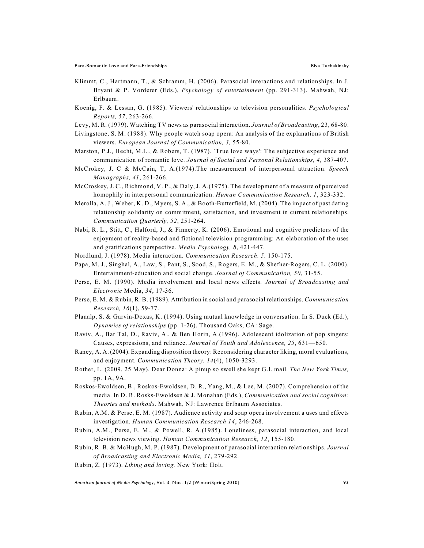- Klimmt, C., Hartmann, T., & Schramm, H. (2006). Parasocial interactions and relationships. In J. Bryant & P. Vorderer (Eds.), *Psychology of entertainment* (pp. 291-313). Mahwah, NJ: Erlbaum.
- Koenig, F. & Lessan, G. (1985). Viewers' relationships to television personalities. *Psychological Reports, 57*, 263-266.
- Levy, M. R. (1979). Watching TV news as parasocial interaction. *Journal of Broadcasting*, 23, 68-80.
- Livingstone, S. M. (1988). Why people watch soap opera: An analysis of the explanations of British viewers. *European Journal of Communication, 3,* 55-80.
- Marston, P.J., Hecht, M.L., & Robers, T. (1987). `True love ways': The subjective experience and communication of romantic love. *Journal of Social and Personal Relationships, 4,* 387-407.
- McCrokey, J. C & McCain, T, A.(1974).The measurement of interpersonal attraction. *Speech Monographs, 41*, 261-266.
- McCroskey, J. C., Richmond, V. P., & Daly, J. A.(1975). The development of a measure of perceived homophily in interpersonal communication. *Human Communication Research, 1*, 323-332.
- Merolla, A. J., Weber, K. D., Myers, S. A., & Booth-Butterfield, M. (2004). The impact of past dating relationship solidarity on commitment, satisfaction, and investment in current relationships. *Communication Quarterly, 52*, 251-264.
- Nabi, R. L., Stitt, C., Halford, J., & Finnerty, K. (2006). Emotional and cognitive predictors of the enjoyment of reality-based and fictional television programming: An elaboration of the uses and gratifications perspective. *Media Psychology, 8*, 421-447.
- Nordlund, J. (1978). Media interaction. *Communication Research, 5,* 150-175.
- Papa, M. J., Singhal, A., Law, S., Pant, S., Sood, S., Rogers, E. M., & Shefner-Rogers, C. L. (2000). Entertainment-education and social change. *Journal of Communication, 50*, 31-55.
- Perse, E. M. (1990). Media involvement and local news effects. *Journal of Broadcasting and Electronic* Media, *34*, 17-36.
- Perse, E. M. & Rubin, R. B. (1989). Attribution in social and parasocial relationships. *Communication Research, 16*(1), 59-77.
- Planalp, S. & Garvin-Doxas, K. (1994). Using mutual knowledge in conversation. In S. Duck (Ed.), *Dynamics of relationships* (pp. 1-26). Thousand Oaks, CA: Sage.
- Raviv, A., Bar Tal, D., Raviv, A., & Ben Horin, A.(1996). Adolescent idolization of pop singers: Causes, expressions, and reliance. *Journal of Youth and Adolescence, 25*, 631—650.
- Raney, A. A. (2004). Expanding disposition theory: Reconsidering character liking, moral evaluations, and enjoyment. *Communication Theory, 14*(4), 1050-3293.
- Rother, L. (2009, 25 May). Dear Donna: A pinup so swell she kept G.I. mail. *The New York Times,* pp. 1A, 9A.
- Roskos-Ewoldsen, B., Roskos-Ewoldsen, D. R., Yang, M., & Lee, M. (2007). Comprehension of the media. In D. R. Rosks-Ewoldsen & J. Monahan (Eds.), *Communication and social cognition: Theories and methods*. Mahwah, NJ: Lawrence Erlbaum Associates.
- Rubin, A.M. & Perse, E. M. (1987). Audience activity and soap opera involvement a uses and effects investigation. *Human Communication Research 14*, 246-268.
- Rubin, A.M., Perse, E. M., & Powell, R. A.(1985). Loneliness, parasocial interaction, and local television news viewing. *Human Communication Research, 12*, 155-180.
- Rubin, R. B. & McHugh, M. P. (1987). Development of parasocial interaction relationships. *Journal of Broadcasting and Electronic Media, 31*, 279-292.
- Rubin, Z. (1973). *Liking and loving.* New York: Holt.

*American Journal of Media Psychology*, Vol. 3, Nos. 1/2 (Winter/Spring 2010) 93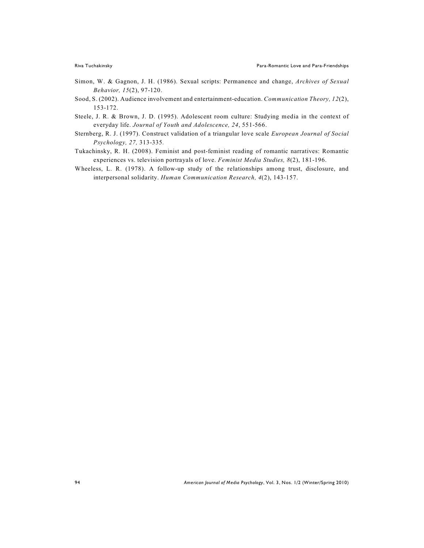- Simon, W. & Gagnon, J. H. (1986). Sexual scripts: Permanence and change, *Archives of Sexual Behavior, 15*(2), 97-120.
- Sood, S. (2002). Audience involvement and entertainment-education. *Communication Theory, 12*(2), 153-172.
- Steele, J. R. & Brown, J. D. (1995). Adolescent room culture: Studying media in the context of everyday life. *Journal of Youth and Adolescence, 24*, 551-566.
- Sternberg, R. J. (1997). Construct validation of a triangular love scale *European Journal of Social Psychology, 27,* 313-335*.*
- Tukachinsky, R. H. (2008). Feminist and post-feminist reading of romantic narratives: Romantic experiences vs. television portrayals of love. *Feminist Media Studies, 8*(2), 181-196.
- Wheeless, L. R. (1978). A follow-up study of the relationships among trust, disclosure, and interpersonal solidarity. *Human Communication Research, 4*(2), 143-157.